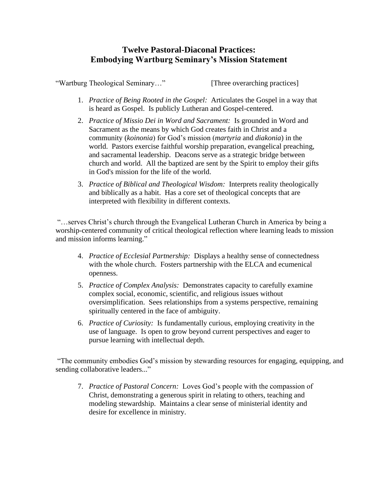## **Twelve Pastoral-Diaconal Practices: Embodying Wartburg Seminary's Mission Statement**

"Wartburg Theological Seminary…" [Three overarching practices]

- 1. *Practice of Being Rooted in the Gospel:* Articulates the Gospel in a way that is heard as Gospel. Is publicly Lutheran and Gospel-centered.
- 2. *Practice of Missio Dei in Word and Sacrament:* Is grounded in Word and Sacrament as the means by which God creates faith in Christ and a community (*koinonia*) for God's mission (*martyria* and *diakonia*) in the world. Pastors exercise faithful worship preparation, evangelical preaching, and sacramental leadership. Deacons serve as a strategic bridge between church and world. All the baptized are sent by the Spirit to employ their gifts in God's mission for the life of the world.
- 3. *Practice of Biblical and Theological Wisdom:* Interprets reality theologically and biblically as a habit. Has a core set of theological concepts that are interpreted with flexibility in different contexts.

"…serves Christ's church through the Evangelical Lutheran Church in America by being a worship-centered community of critical theological reflection where learning leads to mission and mission informs learning."

- 4. *Practice of Ecclesial Partnership:* Displays a healthy sense of connectedness with the whole church. Fosters partnership with the ELCA and ecumenical openness.
- 5. *Practice of Complex Analysis:* Demonstrates capacity to carefully examine complex social, economic, scientific, and religious issues without oversimplification. Sees relationships from a systems perspective, remaining spiritually centered in the face of ambiguity.
- 6. *Practice of Curiosity:* Is fundamentally curious, employing creativity in the use of language. Is open to grow beyond current perspectives and eager to pursue learning with intellectual depth.

"The community embodies God's mission by stewarding resources for engaging, equipping, and sending collaborative leaders..."

7. *Practice of Pastoral Concern:* Loves God's people with the compassion of Christ, demonstrating a generous spirit in relating to others, teaching and modeling stewardship. Maintains a clear sense of ministerial identity and desire for excellence in ministry.